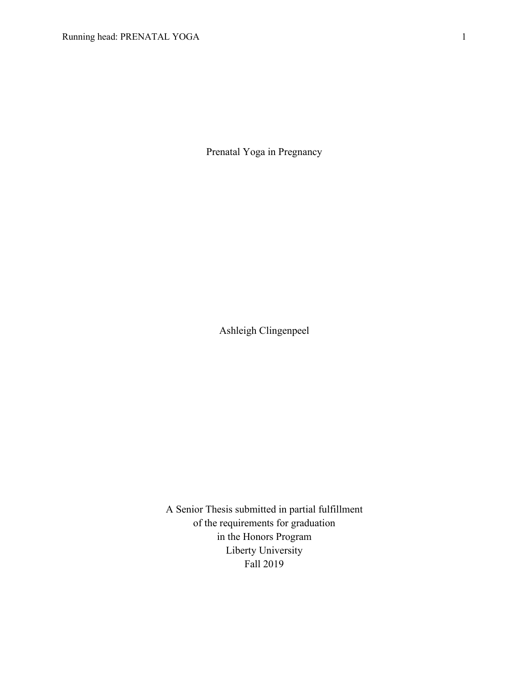Prenatal Yoga in Pregnancy

Ashleigh Clingenpeel

A Senior Thesis submitted in partial fulfillment of the requirements for graduation in the Honors Program Liberty University Fall 2019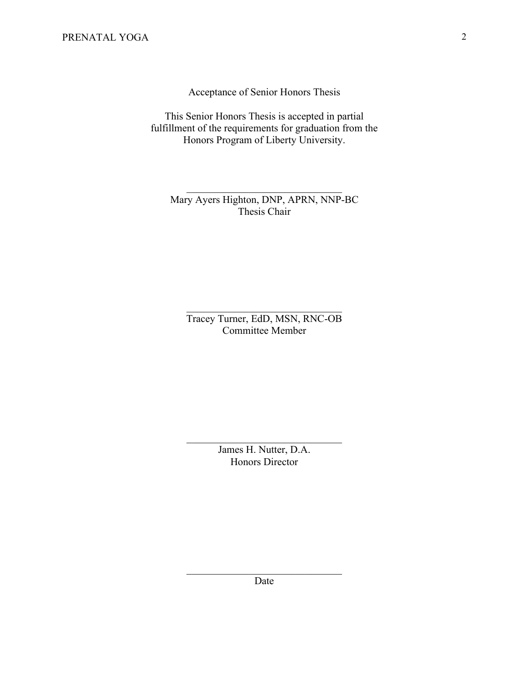Acceptance of Senior Honors Thesis

This Senior Honors Thesis is accepted in partial fulfillment of the requirements for graduation from the Honors Program of Liberty University.

Mary Ayers Highton, DNP, APRN, NNP-BC Thesis Chair

Tracey Turner, EdD, MSN, RNC-OB Committee Member

> James H. Nutter, D.A. Honors Director

> > Date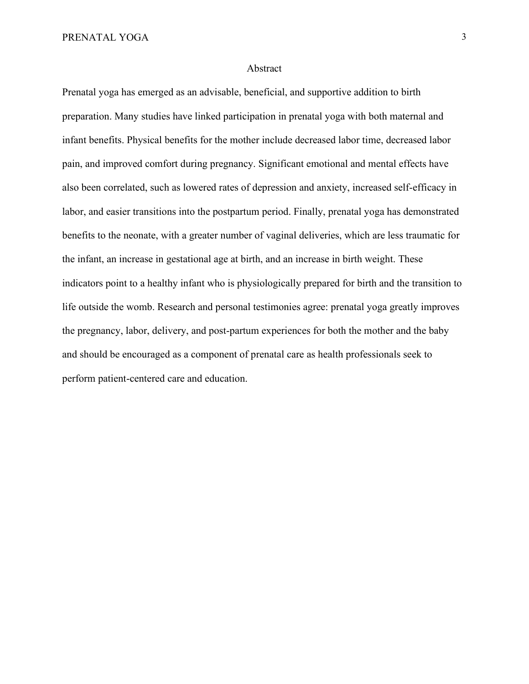#### Abstract

Prenatal yoga has emerged as an advisable, beneficial, and supportive addition to birth preparation. Many studies have linked participation in prenatal yoga with both maternal and infant benefits. Physical benefits for the mother include decreased labor time, decreased labor pain, and improved comfort during pregnancy. Significant emotional and mental effects have also been correlated, such as lowered rates of depression and anxiety, increased self-efficacy in labor, and easier transitions into the postpartum period. Finally, prenatal yoga has demonstrated benefits to the neonate, with a greater number of vaginal deliveries, which are less traumatic for the infant, an increase in gestational age at birth, and an increase in birth weight. These indicators point to a healthy infant who is physiologically prepared for birth and the transition to life outside the womb. Research and personal testimonies agree: prenatal yoga greatly improves the pregnancy, labor, delivery, and post-partum experiences for both the mother and the baby and should be encouraged as a component of prenatal care as health professionals seek to perform patient-centered care and education.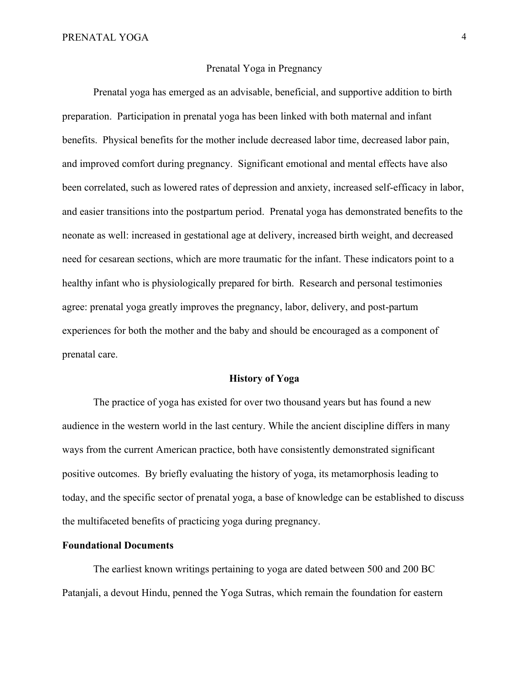## Prenatal Yoga in Pregnancy

Prenatal yoga has emerged as an advisable, beneficial, and supportive addition to birth preparation. Participation in prenatal yoga has been linked with both maternal and infant benefits. Physical benefits for the mother include decreased labor time, decreased labor pain, and improved comfort during pregnancy. Significant emotional and mental effects have also been correlated, such as lowered rates of depression and anxiety, increased self-efficacy in labor, and easier transitions into the postpartum period. Prenatal yoga has demonstrated benefits to the neonate as well: increased in gestational age at delivery, increased birth weight, and decreased need for cesarean sections, which are more traumatic for the infant. These indicators point to a healthy infant who is physiologically prepared for birth. Research and personal testimonies agree: prenatal yoga greatly improves the pregnancy, labor, delivery, and post-partum experiences for both the mother and the baby and should be encouraged as a component of prenatal care.

### **History of Yoga**

The practice of yoga has existed for over two thousand years but has found a new audience in the western world in the last century. While the ancient discipline differs in many ways from the current American practice, both have consistently demonstrated significant positive outcomes. By briefly evaluating the history of yoga, its metamorphosis leading to today, and the specific sector of prenatal yoga, a base of knowledge can be established to discuss the multifaceted benefits of practicing yoga during pregnancy.

# **Foundational Documents**

The earliest known writings pertaining to yoga are dated between 500 and 200 BC Patanjali, a devout Hindu, penned the Yoga Sutras, which remain the foundation for eastern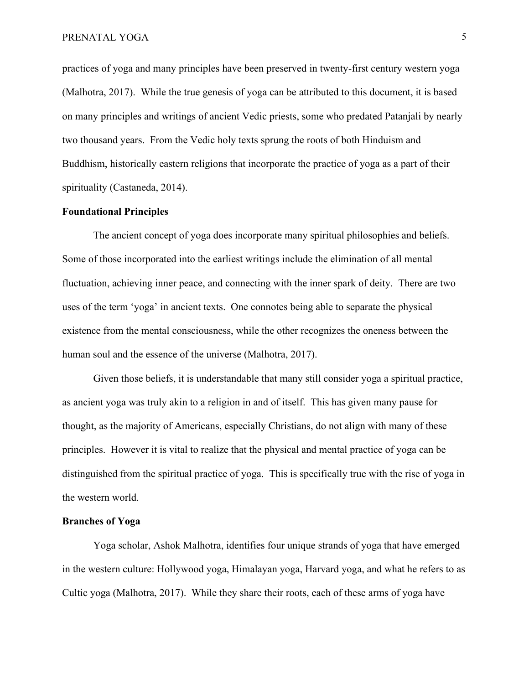practices of yoga and many principles have been preserved in twenty-first century western yoga (Malhotra, 2017). While the true genesis of yoga can be attributed to this document, it is based on many principles and writings of ancient Vedic priests, some who predated Patanjali by nearly two thousand years. From the Vedic holy texts sprung the roots of both Hinduism and Buddhism, historically eastern religions that incorporate the practice of yoga as a part of their spirituality (Castaneda, 2014).

# **Foundational Principles**

The ancient concept of yoga does incorporate many spiritual philosophies and beliefs. Some of those incorporated into the earliest writings include the elimination of all mental fluctuation, achieving inner peace, and connecting with the inner spark of deity. There are two uses of the term 'yoga' in ancient texts. One connotes being able to separate the physical existence from the mental consciousness, while the other recognizes the oneness between the human soul and the essence of the universe (Malhotra, 2017).

Given those beliefs, it is understandable that many still consider yoga a spiritual practice, as ancient yoga was truly akin to a religion in and of itself. This has given many pause for thought, as the majority of Americans, especially Christians, do not align with many of these principles. However it is vital to realize that the physical and mental practice of yoga can be distinguished from the spiritual practice of yoga. This is specifically true with the rise of yoga in the western world.

### **Branches of Yoga**

Yoga scholar, Ashok Malhotra, identifies four unique strands of yoga that have emerged in the western culture: Hollywood yoga, Himalayan yoga, Harvard yoga, and what he refers to as Cultic yoga (Malhotra, 2017). While they share their roots, each of these arms of yoga have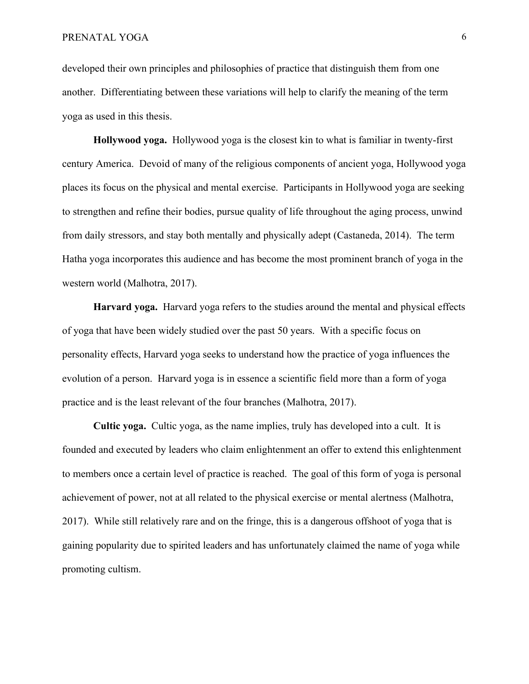developed their own principles and philosophies of practice that distinguish them from one another. Differentiating between these variations will help to clarify the meaning of the term yoga as used in this thesis.

**Hollywood yoga.** Hollywood yoga is the closest kin to what is familiar in twenty-first century America. Devoid of many of the religious components of ancient yoga, Hollywood yoga places its focus on the physical and mental exercise. Participants in Hollywood yoga are seeking to strengthen and refine their bodies, pursue quality of life throughout the aging process, unwind from daily stressors, and stay both mentally and physically adept (Castaneda, 2014). The term Hatha yoga incorporates this audience and has become the most prominent branch of yoga in the western world (Malhotra, 2017).

**Harvard yoga.** Harvard yoga refers to the studies around the mental and physical effects of yoga that have been widely studied over the past 50 years. With a specific focus on personality effects, Harvard yoga seeks to understand how the practice of yoga influences the evolution of a person. Harvard yoga is in essence a scientific field more than a form of yoga practice and is the least relevant of the four branches (Malhotra, 2017).

**Cultic yoga.** Cultic yoga, as the name implies, truly has developed into a cult. It is founded and executed by leaders who claim enlightenment an offer to extend this enlightenment to members once a certain level of practice is reached. The goal of this form of yoga is personal achievement of power, not at all related to the physical exercise or mental alertness (Malhotra, 2017). While still relatively rare and on the fringe, this is a dangerous offshoot of yoga that is gaining popularity due to spirited leaders and has unfortunately claimed the name of yoga while promoting cultism.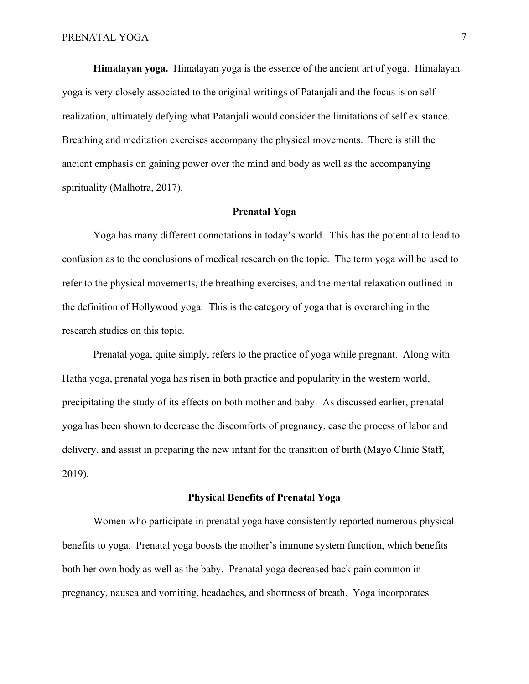**Himalayan yoga.** Himalayan yoga is the essence of the ancient art of yoga. Himalayan yoga is very closely associated to the original writings of Patanjali and the focus is on selfrealization, ultimately defying what Patanjali would consider the limitations of self existance. Breathing and meditation exercises accompany the physical movements. There is still the ancient emphasis on gaining power over the mind and body as well as the accompanying spirituality (Malhotra, 2017).

# **Prenatal Yoga**

Yoga has many different connotations in today's world. This has the potential to lead to confusion as to the conclusions of medical research on the topic. The term yoga will be used to refer to the physical movements, the breathing exercises, and the mental relaxation outlined in the definition of Hollywood yoga. This is the category of yoga that is overarching in the research studies on this topic.

Prenatal yoga, quite simply, refers to the practice of yoga while pregnant. Along with Hatha yoga, prenatal yoga has risen in both practice and popularity in the western world, precipitating the study of its effects on both mother and baby. As discussed earlier, prenatal yoga has been shown to decrease the discomforts of pregnancy, ease the process of labor and delivery, and assist in preparing the new infant for the transition of birth (Mayo Clinic Staff, 2019).

### **Physical Benefits of Prenatal Yoga**

Women who participate in prenatal yoga have consistently reported numerous physical benefits to yoga. Prenatal yoga boosts the mother's immune system function, which benefits both her own body as well as the baby. Prenatal yoga decreased back pain common in pregnancy, nausea and vomiting, headaches, and shortness of breath. Yoga incorporates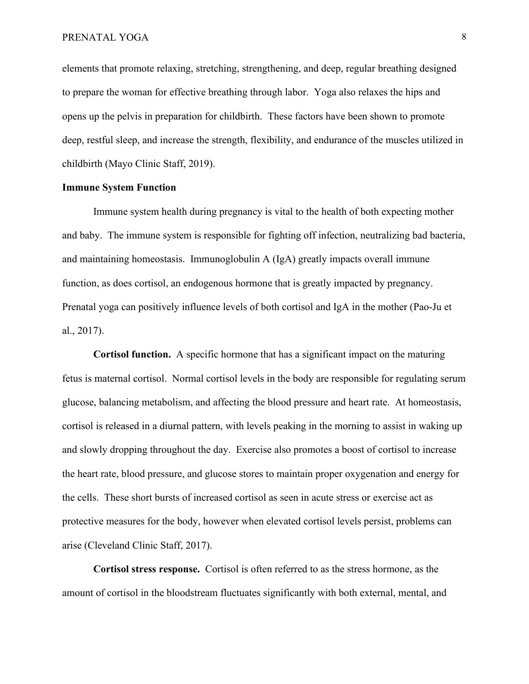### PRENATAL YOGA 8

elements that promote relaxing, stretching, strengthening, and deep, regular breathing designed to prepare the woman for effective breathing through labor. Yoga also relaxes the hips and opens up the pelvis in preparation for childbirth. These factors have been shown to promote deep, restful sleep, and increase the strength, flexibility, and endurance of the muscles utilized in childbirth (Mayo Clinic Staff, 2019).

# **Immune System Function**

Immune system health during pregnancy is vital to the health of both expecting mother and baby. The immune system is responsible for fighting off infection, neutralizing bad bacteria, and maintaining homeostasis. Immunoglobulin A (IgA) greatly impacts overall immune function, as does cortisol, an endogenous hormone that is greatly impacted by pregnancy. Prenatal yoga can positively influence levels of both cortisol and IgA in the mother (Pao-Ju et al., 2017).

**Cortisol function.** A specific hormone that has a significant impact on the maturing fetus is maternal cortisol. Normal cortisol levels in the body are responsible for regulating serum glucose, balancing metabolism, and affecting the blood pressure and heart rate. At homeostasis, cortisol is released in a diurnal pattern, with levels peaking in the morning to assist in waking up and slowly dropping throughout the day. Exercise also promotes a boost of cortisol to increase the heart rate, blood pressure, and glucose stores to maintain proper oxygenation and energy for the cells. These short bursts of increased cortisol as seen in acute stress or exercise act as protective measures for the body, however when elevated cortisol levels persist, problems can arise (Cleveland Clinic Staff, 2017).

**Cortisol stress response.** Cortisol is often referred to as the stress hormone, as the amount of cortisol in the bloodstream fluctuates significantly with both external, mental, and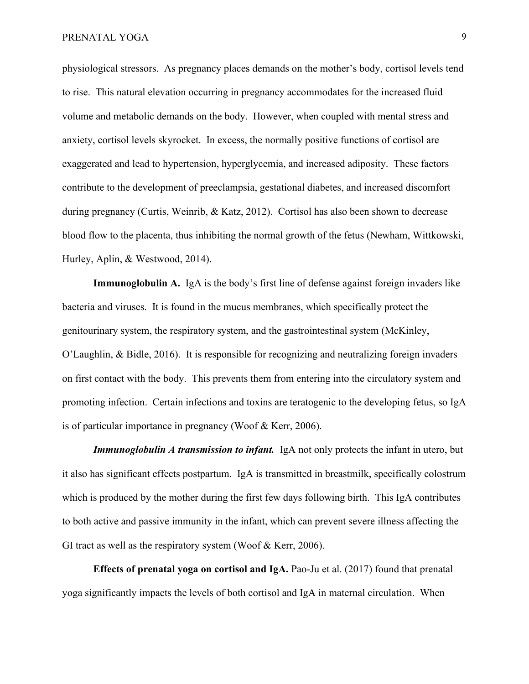physiological stressors. As pregnancy places demands on the mother's body, cortisol levels tend to rise. This natural elevation occurring in pregnancy accommodates for the increased fluid volume and metabolic demands on the body. However, when coupled with mental stress and anxiety, cortisol levels skyrocket. In excess, the normally positive functions of cortisol are exaggerated and lead to hypertension, hyperglycemia, and increased adiposity. These factors contribute to the development of preeclampsia, gestational diabetes, and increased discomfort during pregnancy (Curtis, Weinrib, & Katz, 2012). Cortisol has also been shown to decrease blood flow to the placenta, thus inhibiting the normal growth of the fetus (Newham, Wittkowski, Hurley, Aplin, & Westwood, 2014).

**Immunoglobulin A.** IgA is the body's first line of defense against foreign invaders like bacteria and viruses. It is found in the mucus membranes, which specifically protect the genitourinary system, the respiratory system, and the gastrointestinal system (McKinley, O'Laughlin, & Bidle, 2016). It is responsible for recognizing and neutralizing foreign invaders on first contact with the body. This prevents them from entering into the circulatory system and promoting infection. Certain infections and toxins are teratogenic to the developing fetus, so IgA is of particular importance in pregnancy (Woof & Kerr, 2006).

**Immunoglobulin A transmission to infant.** IgA not only protects the infant in utero, but it also has significant effects postpartum. IgA is transmitted in breastmilk, specifically colostrum which is produced by the mother during the first few days following birth. This IgA contributes to both active and passive immunity in the infant, which can prevent severe illness affecting the GI tract as well as the respiratory system (Woof & Kerr, 2006).

**Effects of prenatal yoga on cortisol and IgA.** Pao-Ju et al. (2017) found that prenatal yoga significantly impacts the levels of both cortisol and IgA in maternal circulation. When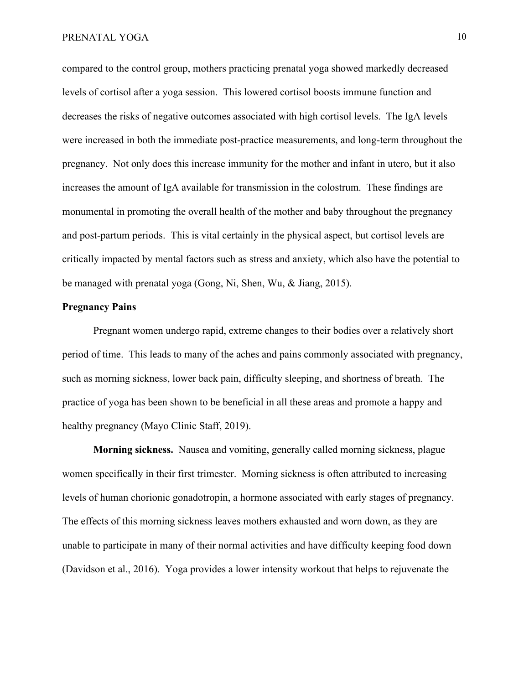compared to the control group, mothers practicing prenatal yoga showed markedly decreased levels of cortisol after a yoga session. This lowered cortisol boosts immune function and decreases the risks of negative outcomes associated with high cortisol levels. The IgA levels were increased in both the immediate post-practice measurements, and long-term throughout the pregnancy. Not only does this increase immunity for the mother and infant in utero, but it also increases the amount of IgA available for transmission in the colostrum. These findings are monumental in promoting the overall health of the mother and baby throughout the pregnancy and post-partum periods. This is vital certainly in the physical aspect, but cortisol levels are critically impacted by mental factors such as stress and anxiety, which also have the potential to be managed with prenatal yoga (Gong, Ni, Shen, Wu, & Jiang, 2015).

### **Pregnancy Pains**

Pregnant women undergo rapid, extreme changes to their bodies over a relatively short period of time. This leads to many of the aches and pains commonly associated with pregnancy, such as morning sickness, lower back pain, difficulty sleeping, and shortness of breath. The practice of yoga has been shown to be beneficial in all these areas and promote a happy and healthy pregnancy (Mayo Clinic Staff, 2019).

**Morning sickness.** Nausea and vomiting, generally called morning sickness, plague women specifically in their first trimester. Morning sickness is often attributed to increasing levels of human chorionic gonadotropin, a hormone associated with early stages of pregnancy. The effects of this morning sickness leaves mothers exhausted and worn down, as they are unable to participate in many of their normal activities and have difficulty keeping food down (Davidson et al., 2016). Yoga provides a lower intensity workout that helps to rejuvenate the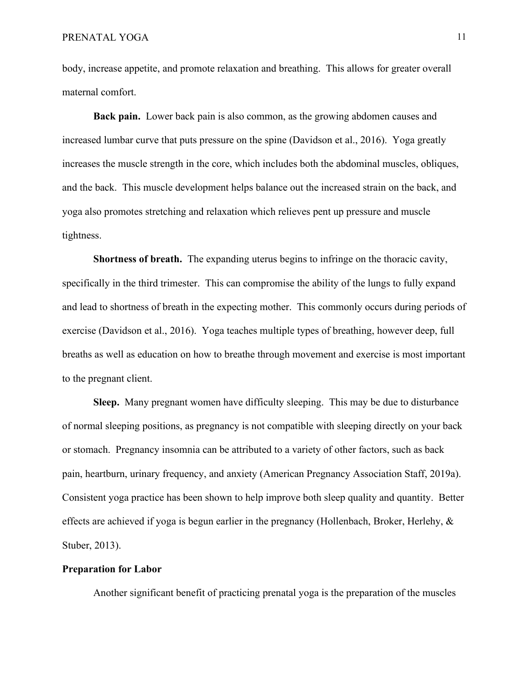body, increase appetite, and promote relaxation and breathing. This allows for greater overall maternal comfort.

**Back pain.** Lower back pain is also common, as the growing abdomen causes and increased lumbar curve that puts pressure on the spine (Davidson et al., 2016). Yoga greatly increases the muscle strength in the core, which includes both the abdominal muscles, obliques, and the back. This muscle development helps balance out the increased strain on the back, and yoga also promotes stretching and relaxation which relieves pent up pressure and muscle tightness.

**Shortness of breath.** The expanding uterus begins to infringe on the thoracic cavity, specifically in the third trimester. This can compromise the ability of the lungs to fully expand and lead to shortness of breath in the expecting mother. This commonly occurs during periods of exercise (Davidson et al., 2016). Yoga teaches multiple types of breathing, however deep, full breaths as well as education on how to breathe through movement and exercise is most important to the pregnant client.

**Sleep.** Many pregnant women have difficulty sleeping. This may be due to disturbance of normal sleeping positions, as pregnancy is not compatible with sleeping directly on your back or stomach. Pregnancy insomnia can be attributed to a variety of other factors, such as back pain, heartburn, urinary frequency, and anxiety (American Pregnancy Association Staff, 2019a). Consistent yoga practice has been shown to help improve both sleep quality and quantity. Better effects are achieved if yoga is begun earlier in the pregnancy (Hollenbach, Broker, Herlehy, & Stuber, 2013).

### **Preparation for Labor**

Another significant benefit of practicing prenatal yoga is the preparation of the muscles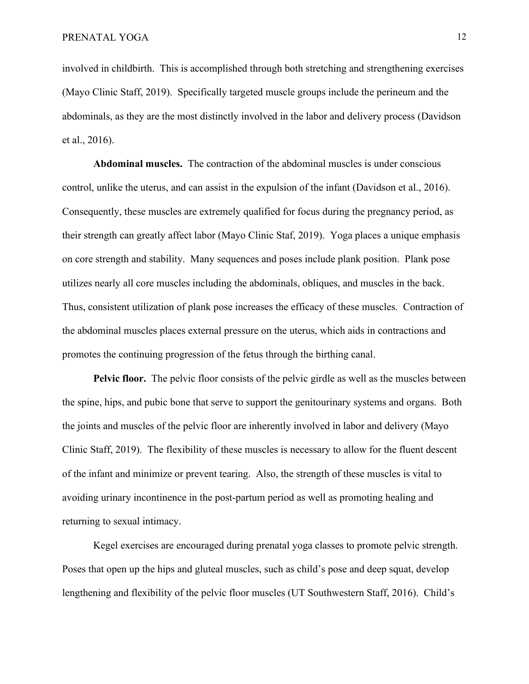involved in childbirth. This is accomplished through both stretching and strengthening exercises (Mayo Clinic Staff, 2019). Specifically targeted muscle groups include the perineum and the abdominals, as they are the most distinctly involved in the labor and delivery process (Davidson et al., 2016).

**Abdominal muscles.** The contraction of the abdominal muscles is under conscious control, unlike the uterus, and can assist in the expulsion of the infant (Davidson et al., 2016). Consequently, these muscles are extremely qualified for focus during the pregnancy period, as their strength can greatly affect labor (Mayo Clinic Staf, 2019). Yoga places a unique emphasis on core strength and stability. Many sequences and poses include plank position. Plank pose utilizes nearly all core muscles including the abdominals, obliques, and muscles in the back. Thus, consistent utilization of plank pose increases the efficacy of these muscles. Contraction of the abdominal muscles places external pressure on the uterus, which aids in contractions and promotes the continuing progression of the fetus through the birthing canal.

**Pelvic floor.** The pelvic floor consists of the pelvic girdle as well as the muscles between the spine, hips, and pubic bone that serve to support the genitourinary systems and organs. Both the joints and muscles of the pelvic floor are inherently involved in labor and delivery (Mayo Clinic Staff, 2019). The flexibility of these muscles is necessary to allow for the fluent descent of the infant and minimize or prevent tearing. Also, the strength of these muscles is vital to avoiding urinary incontinence in the post-partum period as well as promoting healing and returning to sexual intimacy.

Kegel exercises are encouraged during prenatal yoga classes to promote pelvic strength. Poses that open up the hips and gluteal muscles, such as child's pose and deep squat, develop lengthening and flexibility of the pelvic floor muscles (UT Southwestern Staff, 2016). Child's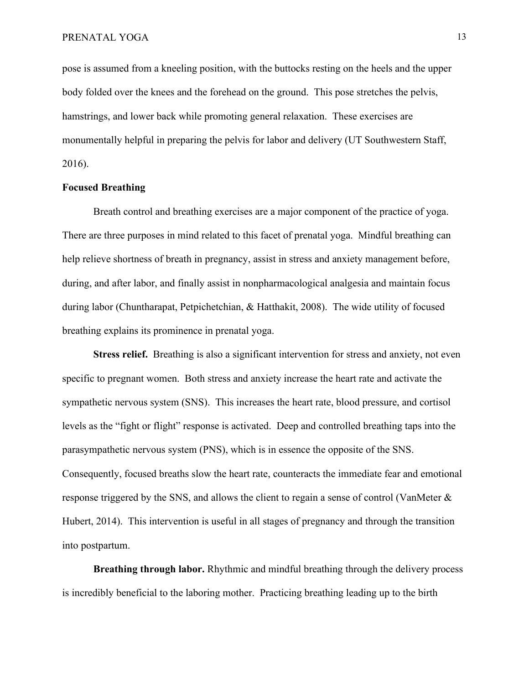pose is assumed from a kneeling position, with the buttocks resting on the heels and the upper body folded over the knees and the forehead on the ground. This pose stretches the pelvis, hamstrings, and lower back while promoting general relaxation. These exercises are monumentally helpful in preparing the pelvis for labor and delivery (UT Southwestern Staff, 2016).

# **Focused Breathing**

Breath control and breathing exercises are a major component of the practice of yoga. There are three purposes in mind related to this facet of prenatal yoga. Mindful breathing can help relieve shortness of breath in pregnancy, assist in stress and anxiety management before, during, and after labor, and finally assist in nonpharmacological analgesia and maintain focus during labor (Chuntharapat, Petpichetchian, & Hatthakit, 2008). The wide utility of focused breathing explains its prominence in prenatal yoga.

**Stress relief.** Breathing is also a significant intervention for stress and anxiety, not even specific to pregnant women. Both stress and anxiety increase the heart rate and activate the sympathetic nervous system (SNS). This increases the heart rate, blood pressure, and cortisol levels as the "fight or flight" response is activated. Deep and controlled breathing taps into the parasympathetic nervous system (PNS), which is in essence the opposite of the SNS. Consequently, focused breaths slow the heart rate, counteracts the immediate fear and emotional response triggered by the SNS, and allows the client to regain a sense of control (VanMeter & Hubert, 2014). This intervention is useful in all stages of pregnancy and through the transition into postpartum.

**Breathing through labor.** Rhythmic and mindful breathing through the delivery process is incredibly beneficial to the laboring mother. Practicing breathing leading up to the birth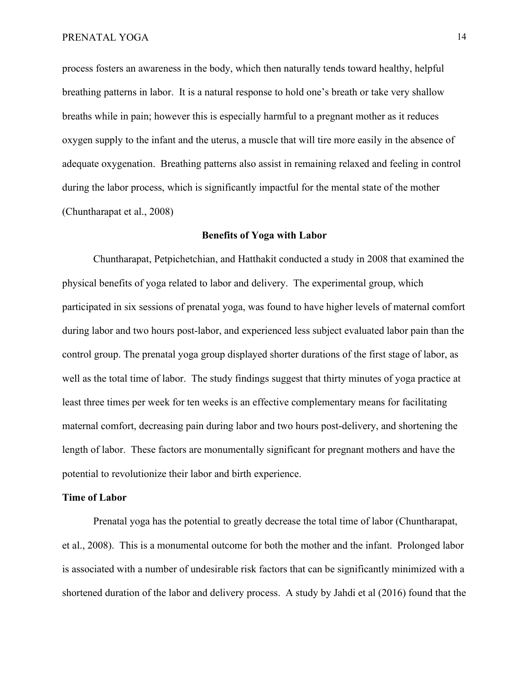process fosters an awareness in the body, which then naturally tends toward healthy, helpful breathing patterns in labor. It is a natural response to hold one's breath or take very shallow breaths while in pain; however this is especially harmful to a pregnant mother as it reduces oxygen supply to the infant and the uterus, a muscle that will tire more easily in the absence of adequate oxygenation. Breathing patterns also assist in remaining relaxed and feeling in control during the labor process, which is significantly impactful for the mental state of the mother (Chuntharapat et al., 2008)

### **Benefits of Yoga with Labor**

Chuntharapat, Petpichetchian, and Hatthakit conducted a study in 2008 that examined the physical benefits of yoga related to labor and delivery. The experimental group, which participated in six sessions of prenatal yoga, was found to have higher levels of maternal comfort during labor and two hours post-labor, and experienced less subject evaluated labor pain than the control group. The prenatal yoga group displayed shorter durations of the first stage of labor, as well as the total time of labor. The study findings suggest that thirty minutes of yoga practice at least three times per week for ten weeks is an effective complementary means for facilitating maternal comfort, decreasing pain during labor and two hours post-delivery, and shortening the length of labor. These factors are monumentally significant for pregnant mothers and have the potential to revolutionize their labor and birth experience.

#### **Time of Labor**

Prenatal yoga has the potential to greatly decrease the total time of labor (Chuntharapat, et al., 2008). This is a monumental outcome for both the mother and the infant. Prolonged labor is associated with a number of undesirable risk factors that can be significantly minimized with a shortened duration of the labor and delivery process. A study by Jahdi et al (2016) found that the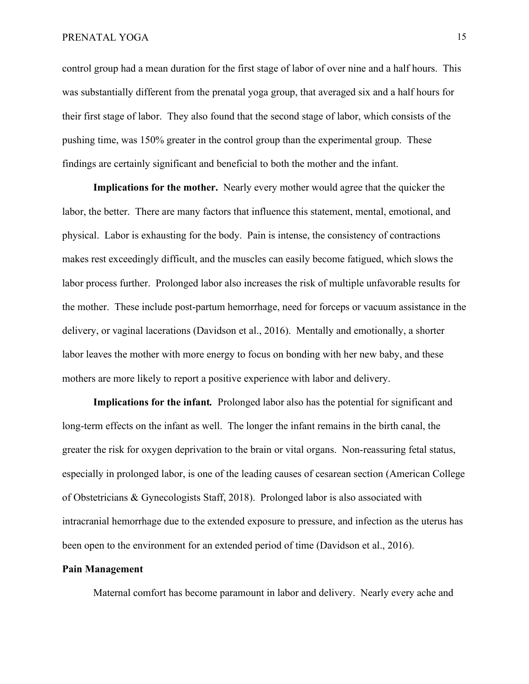### PRENATAL YOGA 15

control group had a mean duration for the first stage of labor of over nine and a half hours. This was substantially different from the prenatal yoga group, that averaged six and a half hours for their first stage of labor. They also found that the second stage of labor, which consists of the pushing time, was 150% greater in the control group than the experimental group. These findings are certainly significant and beneficial to both the mother and the infant.

**Implications for the mother.** Nearly every mother would agree that the quicker the labor, the better. There are many factors that influence this statement, mental, emotional, and physical. Labor is exhausting for the body. Pain is intense, the consistency of contractions makes rest exceedingly difficult, and the muscles can easily become fatigued, which slows the labor process further. Prolonged labor also increases the risk of multiple unfavorable results for the mother. These include post-partum hemorrhage, need for forceps or vacuum assistance in the delivery, or vaginal lacerations (Davidson et al., 2016). Mentally and emotionally, a shorter labor leaves the mother with more energy to focus on bonding with her new baby, and these mothers are more likely to report a positive experience with labor and delivery.

**Implications for the infant***.* Prolonged labor also has the potential for significant and long-term effects on the infant as well. The longer the infant remains in the birth canal, the greater the risk for oxygen deprivation to the brain or vital organs. Non-reassuring fetal status, especially in prolonged labor, is one of the leading causes of cesarean section (American College of Obstetricians & Gynecologists Staff, 2018). Prolonged labor is also associated with intracranial hemorrhage due to the extended exposure to pressure, and infection as the uterus has been open to the environment for an extended period of time (Davidson et al., 2016).

# **Pain Management**

Maternal comfort has become paramount in labor and delivery. Nearly every ache and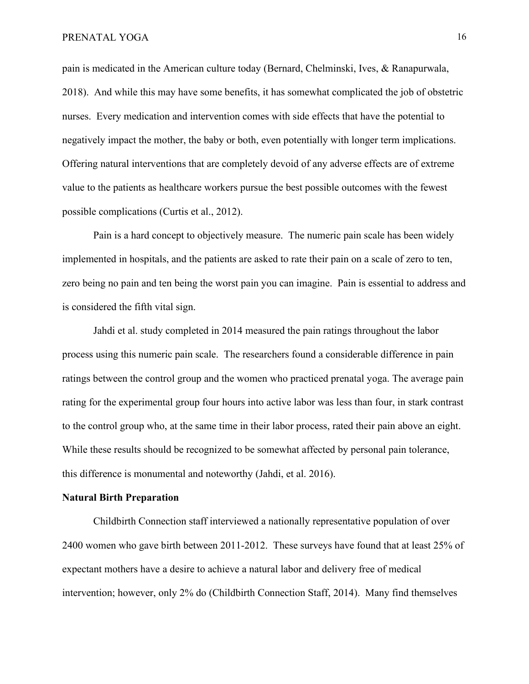# PRENATAL YOGA 16

pain is medicated in the American culture today (Bernard, Chelminski, Ives, & Ranapurwala, 2018). And while this may have some benefits, it has somewhat complicated the job of obstetric nurses. Every medication and intervention comes with side effects that have the potential to negatively impact the mother, the baby or both, even potentially with longer term implications. Offering natural interventions that are completely devoid of any adverse effects are of extreme value to the patients as healthcare workers pursue the best possible outcomes with the fewest possible complications (Curtis et al., 2012).

Pain is a hard concept to objectively measure. The numeric pain scale has been widely implemented in hospitals, and the patients are asked to rate their pain on a scale of zero to ten, zero being no pain and ten being the worst pain you can imagine. Pain is essential to address and is considered the fifth vital sign.

Jahdi et al. study completed in 2014 measured the pain ratings throughout the labor process using this numeric pain scale. The researchers found a considerable difference in pain ratings between the control group and the women who practiced prenatal yoga. The average pain rating for the experimental group four hours into active labor was less than four, in stark contrast to the control group who, at the same time in their labor process, rated their pain above an eight. While these results should be recognized to be somewhat affected by personal pain tolerance, this difference is monumental and noteworthy (Jahdi, et al. 2016).

#### **Natural Birth Preparation**

Childbirth Connection staff interviewed a nationally representative population of over 2400 women who gave birth between 2011-2012. These surveys have found that at least 25% of expectant mothers have a desire to achieve a natural labor and delivery free of medical intervention; however, only 2% do (Childbirth Connection Staff, 2014). Many find themselves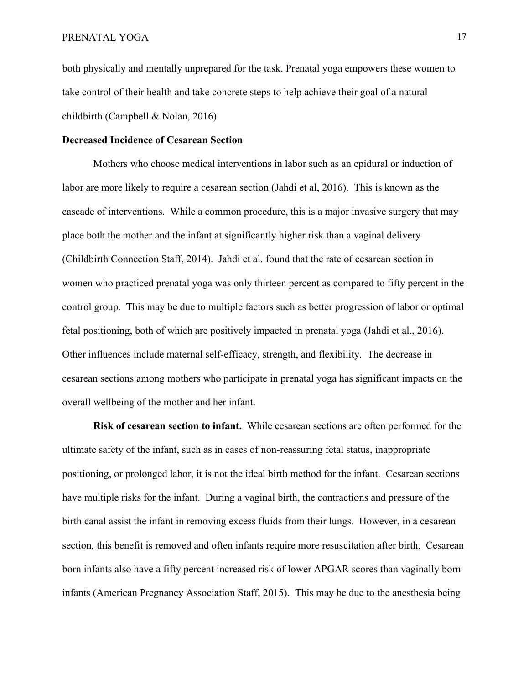both physically and mentally unprepared for the task. Prenatal yoga empowers these women to take control of their health and take concrete steps to help achieve their goal of a natural childbirth (Campbell & Nolan, 2016).

### **Decreased Incidence of Cesarean Section**

Mothers who choose medical interventions in labor such as an epidural or induction of labor are more likely to require a cesarean section (Jahdi et al, 2016). This is known as the cascade of interventions. While a common procedure, this is a major invasive surgery that may place both the mother and the infant at significantly higher risk than a vaginal delivery (Childbirth Connection Staff, 2014). Jahdi et al. found that the rate of cesarean section in women who practiced prenatal yoga was only thirteen percent as compared to fifty percent in the control group. This may be due to multiple factors such as better progression of labor or optimal fetal positioning, both of which are positively impacted in prenatal yoga (Jahdi et al., 2016). Other influences include maternal self-efficacy, strength, and flexibility. The decrease in cesarean sections among mothers who participate in prenatal yoga has significant impacts on the overall wellbeing of the mother and her infant.

**Risk of cesarean section to infant.** While cesarean sections are often performed for the ultimate safety of the infant, such as in cases of non-reassuring fetal status, inappropriate positioning, or prolonged labor, it is not the ideal birth method for the infant. Cesarean sections have multiple risks for the infant. During a vaginal birth, the contractions and pressure of the birth canal assist the infant in removing excess fluids from their lungs. However, in a cesarean section, this benefit is removed and often infants require more resuscitation after birth. Cesarean born infants also have a fifty percent increased risk of lower APGAR scores than vaginally born infants (American Pregnancy Association Staff, 2015). This may be due to the anesthesia being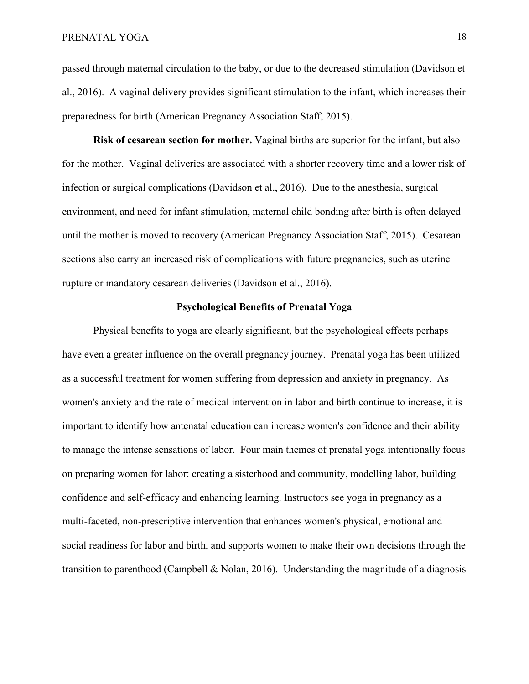passed through maternal circulation to the baby, or due to the decreased stimulation (Davidson et al., 2016). A vaginal delivery provides significant stimulation to the infant, which increases their preparedness for birth (American Pregnancy Association Staff, 2015).

**Risk of cesarean section for mother.** Vaginal births are superior for the infant, but also for the mother. Vaginal deliveries are associated with a shorter recovery time and a lower risk of infection or surgical complications (Davidson et al., 2016). Due to the anesthesia, surgical environment, and need for infant stimulation, maternal child bonding after birth is often delayed until the mother is moved to recovery (American Pregnancy Association Staff, 2015). Cesarean sections also carry an increased risk of complications with future pregnancies, such as uterine rupture or mandatory cesarean deliveries (Davidson et al., 2016).

### **Psychological Benefits of Prenatal Yoga**

Physical benefits to yoga are clearly significant, but the psychological effects perhaps have even a greater influence on the overall pregnancy journey. Prenatal yoga has been utilized as a successful treatment for women suffering from depression and anxiety in pregnancy. As women's anxiety and the rate of medical intervention in labor and birth continue to increase, it is important to identify how antenatal education can increase women's confidence and their ability to manage the intense sensations of labor. Four main themes of prenatal yoga intentionally focus on preparing women for labor: creating a sisterhood and community, modelling labor, building confidence and self-efficacy and enhancing learning. Instructors see yoga in pregnancy as a multi-faceted, non-prescriptive intervention that enhances women's physical, emotional and social readiness for labor and birth, and supports women to make their own decisions through the transition to parenthood (Campbell & Nolan, 2016). Understanding the magnitude of a diagnosis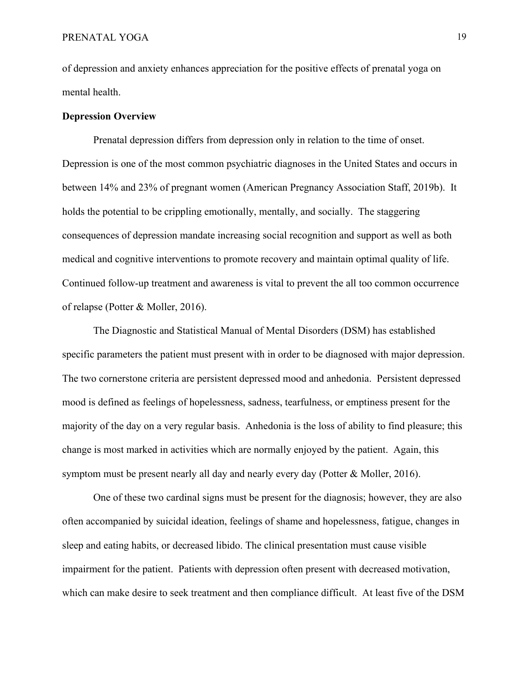of depression and anxiety enhances appreciation for the positive effects of prenatal yoga on mental health.

### **Depression Overview**

Prenatal depression differs from depression only in relation to the time of onset. Depression is one of the most common psychiatric diagnoses in the United States and occurs in between 14% and 23% of pregnant women (American Pregnancy Association Staff, 2019b). It holds the potential to be crippling emotionally, mentally, and socially. The staggering consequences of depression mandate increasing social recognition and support as well as both medical and cognitive interventions to promote recovery and maintain optimal quality of life. Continued follow-up treatment and awareness is vital to prevent the all too common occurrence of relapse (Potter & Moller, 2016).

The Diagnostic and Statistical Manual of Mental Disorders (DSM) has established specific parameters the patient must present with in order to be diagnosed with major depression. The two cornerstone criteria are persistent depressed mood and anhedonia. Persistent depressed mood is defined as feelings of hopelessness, sadness, tearfulness, or emptiness present for the majority of the day on a very regular basis. Anhedonia is the loss of ability to find pleasure; this change is most marked in activities which are normally enjoyed by the patient. Again, this symptom must be present nearly all day and nearly every day (Potter & Moller, 2016).

One of these two cardinal signs must be present for the diagnosis; however, they are also often accompanied by suicidal ideation, feelings of shame and hopelessness, fatigue, changes in sleep and eating habits, or decreased libido. The clinical presentation must cause visible impairment for the patient. Patients with depression often present with decreased motivation, which can make desire to seek treatment and then compliance difficult. At least five of the DSM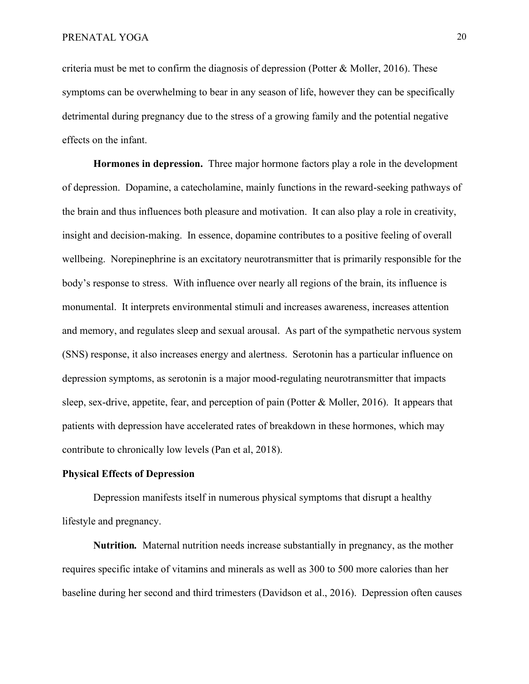criteria must be met to confirm the diagnosis of depression (Potter  $\&$  Moller, 2016). These symptoms can be overwhelming to bear in any season of life, however they can be specifically detrimental during pregnancy due to the stress of a growing family and the potential negative effects on the infant.

**Hormones in depression.** Three major hormone factors play a role in the development of depression. Dopamine, a catecholamine, mainly functions in the reward-seeking pathways of the brain and thus influences both pleasure and motivation. It can also play a role in creativity, insight and decision-making. In essence, dopamine contributes to a positive feeling of overall wellbeing. Norepinephrine is an excitatory neurotransmitter that is primarily responsible for the body's response to stress. With influence over nearly all regions of the brain, its influence is monumental. It interprets environmental stimuli and increases awareness, increases attention and memory, and regulates sleep and sexual arousal. As part of the sympathetic nervous system (SNS) response, it also increases energy and alertness. Serotonin has a particular influence on depression symptoms, as serotonin is a major mood-regulating neurotransmitter that impacts sleep, sex-drive, appetite, fear, and perception of pain (Potter & Moller, 2016). It appears that patients with depression have accelerated rates of breakdown in these hormones, which may contribute to chronically low levels (Pan et al, 2018).

### **Physical Effects of Depression**

Depression manifests itself in numerous physical symptoms that disrupt a healthy lifestyle and pregnancy.

**Nutrition***.* Maternal nutrition needs increase substantially in pregnancy, as the mother requires specific intake of vitamins and minerals as well as 300 to 500 more calories than her baseline during her second and third trimesters (Davidson et al., 2016). Depression often causes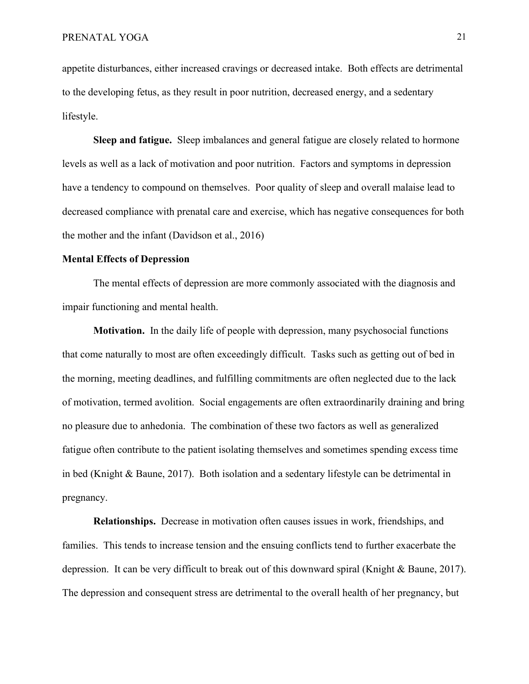appetite disturbances, either increased cravings or decreased intake. Both effects are detrimental to the developing fetus, as they result in poor nutrition, decreased energy, and a sedentary lifestyle.

**Sleep and fatigue.** Sleep imbalances and general fatigue are closely related to hormone levels as well as a lack of motivation and poor nutrition. Factors and symptoms in depression have a tendency to compound on themselves. Poor quality of sleep and overall malaise lead to decreased compliance with prenatal care and exercise, which has negative consequences for both the mother and the infant (Davidson et al., 2016)

### **Mental Effects of Depression**

The mental effects of depression are more commonly associated with the diagnosis and impair functioning and mental health.

**Motivation.** In the daily life of people with depression, many psychosocial functions that come naturally to most are often exceedingly difficult. Tasks such as getting out of bed in the morning, meeting deadlines, and fulfilling commitments are often neglected due to the lack of motivation, termed avolition. Social engagements are often extraordinarily draining and bring no pleasure due to anhedonia. The combination of these two factors as well as generalized fatigue often contribute to the patient isolating themselves and sometimes spending excess time in bed (Knight & Baune, 2017). Both isolation and a sedentary lifestyle can be detrimental in pregnancy.

**Relationships.** Decrease in motivation often causes issues in work, friendships, and families. This tends to increase tension and the ensuing conflicts tend to further exacerbate the depression. It can be very difficult to break out of this downward spiral (Knight & Baune, 2017). The depression and consequent stress are detrimental to the overall health of her pregnancy, but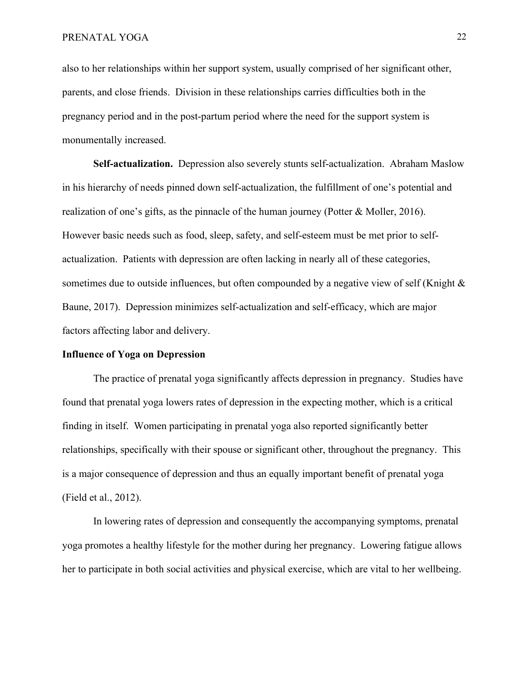also to her relationships within her support system, usually comprised of her significant other, parents, and close friends. Division in these relationships carries difficulties both in the pregnancy period and in the post-partum period where the need for the support system is monumentally increased.

**Self-actualization.** Depression also severely stunts self-actualization. Abraham Maslow in his hierarchy of needs pinned down self-actualization, the fulfillment of one's potential and realization of one's gifts, as the pinnacle of the human journey (Potter & Moller, 2016). However basic needs such as food, sleep, safety, and self-esteem must be met prior to selfactualization. Patients with depression are often lacking in nearly all of these categories, sometimes due to outside influences, but often compounded by a negative view of self (Knight & Baune, 2017). Depression minimizes self-actualization and self-efficacy, which are major factors affecting labor and delivery.

# **Influence of Yoga on Depression**

The practice of prenatal yoga significantly affects depression in pregnancy. Studies have found that prenatal yoga lowers rates of depression in the expecting mother, which is a critical finding in itself. Women participating in prenatal yoga also reported significantly better relationships, specifically with their spouse or significant other, throughout the pregnancy. This is a major consequence of depression and thus an equally important benefit of prenatal yoga (Field et al., 2012).

In lowering rates of depression and consequently the accompanying symptoms, prenatal yoga promotes a healthy lifestyle for the mother during her pregnancy. Lowering fatigue allows her to participate in both social activities and physical exercise, which are vital to her wellbeing.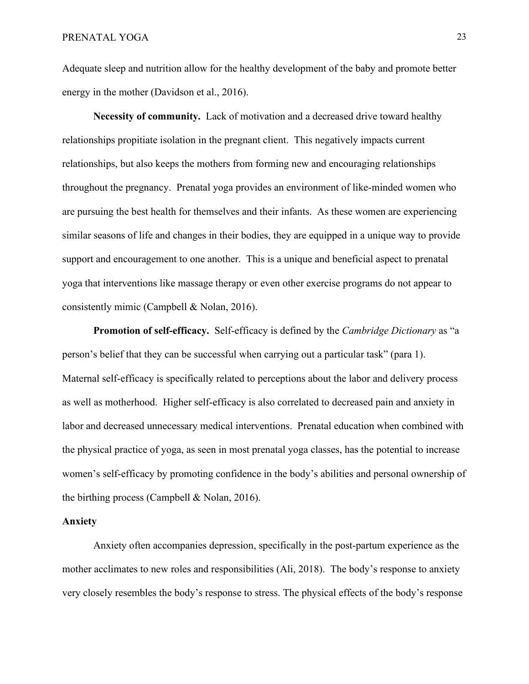Adequate sleep and nutrition allow for the healthy development of the baby and promote better energy in the mother (Davidson et al., 2016).

**Necessity of community.** Lack of motivation and a decreased drive toward healthy relationships propitiate isolation in the pregnant client. This negatively impacts current relationships, but also keeps the mothers from forming new and encouraging relationships throughout the pregnancy. Prenatal yoga provides an environment of like-minded women who are pursuing the best health for themselves and their infants. As these women are experiencing similar seasons of life and changes in their bodies, they are equipped in a unique way to provide support and encouragement to one another. This is a unique and beneficial aspect to prenatal yoga that interventions like massage therapy or even other exercise programs do not appear to consistently mimic (Campbell & Nolan, 2016).

**Promotion of self-efficacy.** Self-efficacy is defined by the *Cambridge Dictionary* as "a person's belief that they can be successful when carrying out a particular task" (para 1). Maternal self-efficacy is specifically related to perceptions about the labor and delivery process as well as motherhood. Higher self-efficacy is also correlated to decreased pain and anxiety in labor and decreased unnecessary medical interventions. Prenatal education when combined with the physical practice of yoga, as seen in most prenatal yoga classes, has the potential to increase women's self-efficacy by promoting confidence in the body's abilities and personal ownership of the birthing process (Campbell & Nolan, 2016).

# **Anxiety**

Anxiety often accompanies depression, specifically in the post-partum experience as the mother acclimates to new roles and responsibilities (Ali, 2018). The body's response to anxiety very closely resembles the body's response to stress. The physical effects of the body's response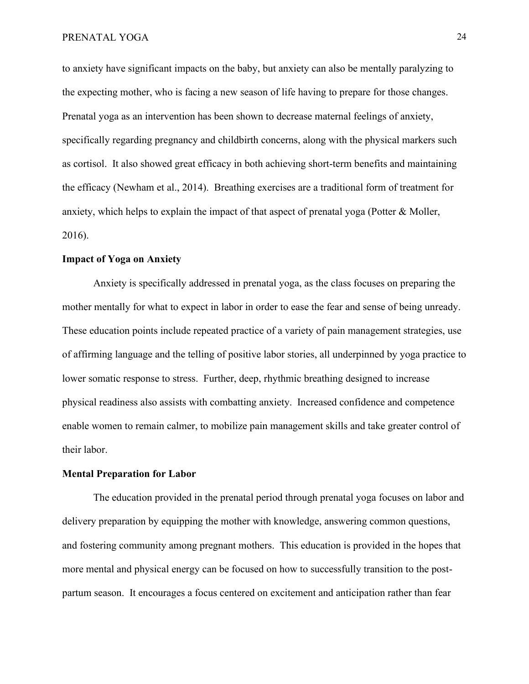to anxiety have significant impacts on the baby, but anxiety can also be mentally paralyzing to the expecting mother, who is facing a new season of life having to prepare for those changes. Prenatal yoga as an intervention has been shown to decrease maternal feelings of anxiety, specifically regarding pregnancy and childbirth concerns, along with the physical markers such as cortisol. It also showed great efficacy in both achieving short-term benefits and maintaining the efficacy (Newham et al., 2014). Breathing exercises are a traditional form of treatment for anxiety, which helps to explain the impact of that aspect of prenatal yoga (Potter & Moller, 2016).

# **Impact of Yoga on Anxiety**

Anxiety is specifically addressed in prenatal yoga, as the class focuses on preparing the mother mentally for what to expect in labor in order to ease the fear and sense of being unready. These education points include repeated practice of a variety of pain management strategies, use of affirming language and the telling of positive labor stories, all underpinned by yoga practice to lower somatic response to stress. Further, deep, rhythmic breathing designed to increase physical readiness also assists with combatting anxiety. Increased confidence and competence enable women to remain calmer, to mobilize pain management skills and take greater control of their labor.

# **Mental Preparation for Labor**

The education provided in the prenatal period through prenatal yoga focuses on labor and delivery preparation by equipping the mother with knowledge, answering common questions, and fostering community among pregnant mothers. This education is provided in the hopes that more mental and physical energy can be focused on how to successfully transition to the postpartum season. It encourages a focus centered on excitement and anticipation rather than fear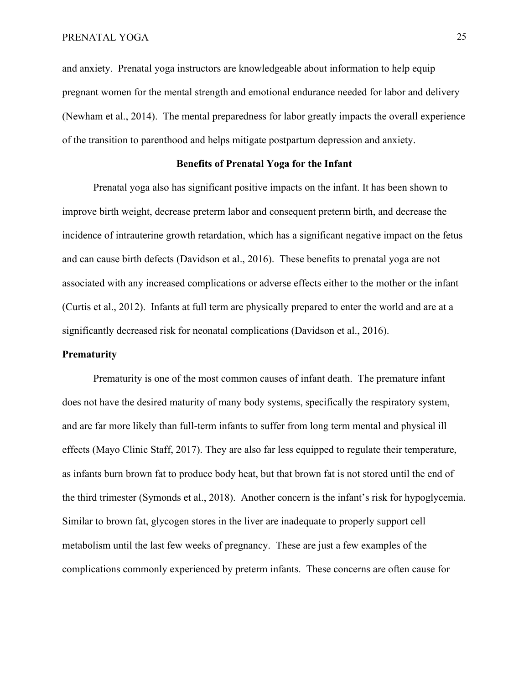and anxiety. Prenatal yoga instructors are knowledgeable about information to help equip pregnant women for the mental strength and emotional endurance needed for labor and delivery (Newham et al., 2014). The mental preparedness for labor greatly impacts the overall experience of the transition to parenthood and helps mitigate postpartum depression and anxiety.

# **Benefits of Prenatal Yoga for the Infant**

Prenatal yoga also has significant positive impacts on the infant. It has been shown to improve birth weight, decrease preterm labor and consequent preterm birth, and decrease the incidence of intrauterine growth retardation, which has a significant negative impact on the fetus and can cause birth defects (Davidson et al., 2016). These benefits to prenatal yoga are not associated with any increased complications or adverse effects either to the mother or the infant (Curtis et al., 2012). Infants at full term are physically prepared to enter the world and are at a significantly decreased risk for neonatal complications (Davidson et al., 2016).

### **Prematurity**

Prematurity is one of the most common causes of infant death. The premature infant does not have the desired maturity of many body systems, specifically the respiratory system, and are far more likely than full-term infants to suffer from long term mental and physical ill effects (Mayo Clinic Staff, 2017). They are also far less equipped to regulate their temperature, as infants burn brown fat to produce body heat, but that brown fat is not stored until the end of the third trimester (Symonds et al., 2018). Another concern is the infant's risk for hypoglycemia. Similar to brown fat, glycogen stores in the liver are inadequate to properly support cell metabolism until the last few weeks of pregnancy. These are just a few examples of the complications commonly experienced by preterm infants. These concerns are often cause for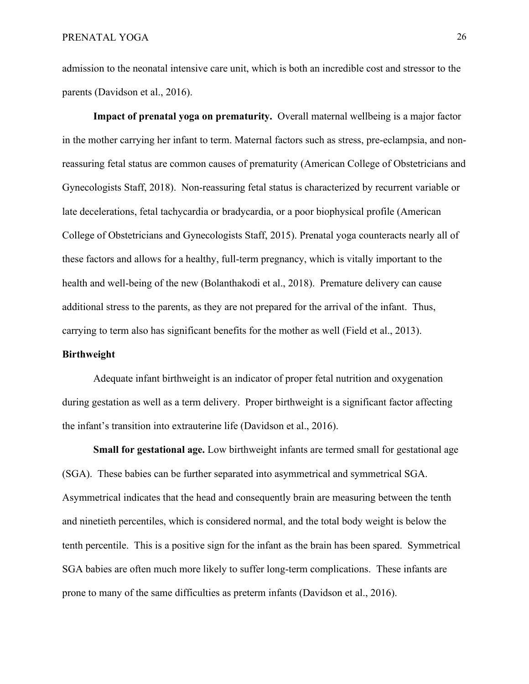admission to the neonatal intensive care unit, which is both an incredible cost and stressor to the parents (Davidson et al., 2016).

**Impact of prenatal yoga on prematurity.** Overall maternal wellbeing is a major factor in the mother carrying her infant to term. Maternal factors such as stress, pre-eclampsia, and nonreassuring fetal status are common causes of prematurity (American College of Obstetricians and Gynecologists Staff, 2018). Non-reassuring fetal status is characterized by recurrent variable or late decelerations, fetal tachycardia or bradycardia, or a poor biophysical profile (American College of Obstetricians and Gynecologists Staff, 2015). Prenatal yoga counteracts nearly all of these factors and allows for a healthy, full-term pregnancy, which is vitally important to the health and well-being of the new (Bolanthakodi et al., 2018). Premature delivery can cause additional stress to the parents, as they are not prepared for the arrival of the infant. Thus, carrying to term also has significant benefits for the mother as well (Field et al., 2013).

# **Birthweight**

Adequate infant birthweight is an indicator of proper fetal nutrition and oxygenation during gestation as well as a term delivery. Proper birthweight is a significant factor affecting the infant's transition into extrauterine life (Davidson et al., 2016).

**Small for gestational age.** Low birthweight infants are termed small for gestational age (SGA). These babies can be further separated into asymmetrical and symmetrical SGA. Asymmetrical indicates that the head and consequently brain are measuring between the tenth and ninetieth percentiles, which is considered normal, and the total body weight is below the tenth percentile. This is a positive sign for the infant as the brain has been spared. Symmetrical SGA babies are often much more likely to suffer long-term complications. These infants are prone to many of the same difficulties as preterm infants (Davidson et al., 2016).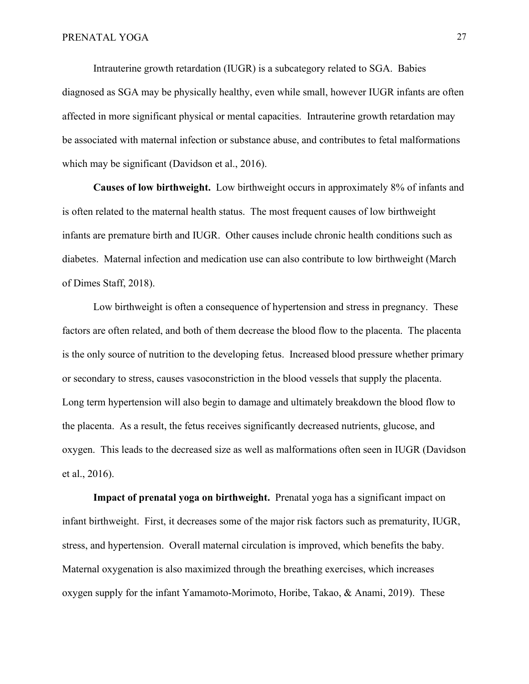Intrauterine growth retardation (IUGR) is a subcategory related to SGA. Babies diagnosed as SGA may be physically healthy, even while small, however IUGR infants are often affected in more significant physical or mental capacities. Intrauterine growth retardation may be associated with maternal infection or substance abuse, and contributes to fetal malformations which may be significant (Davidson et al., 2016).

**Causes of low birthweight.** Low birthweight occurs in approximately 8% of infants and is often related to the maternal health status. The most frequent causes of low birthweight infants are premature birth and IUGR. Other causes include chronic health conditions such as diabetes. Maternal infection and medication use can also contribute to low birthweight (March of Dimes Staff, 2018).

Low birthweight is often a consequence of hypertension and stress in pregnancy. These factors are often related, and both of them decrease the blood flow to the placenta. The placenta is the only source of nutrition to the developing fetus. Increased blood pressure whether primary or secondary to stress, causes vasoconstriction in the blood vessels that supply the placenta. Long term hypertension will also begin to damage and ultimately breakdown the blood flow to the placenta. As a result, the fetus receives significantly decreased nutrients, glucose, and oxygen. This leads to the decreased size as well as malformations often seen in IUGR (Davidson et al., 2016).

**Impact of prenatal yoga on birthweight.** Prenatal yoga has a significant impact on infant birthweight. First, it decreases some of the major risk factors such as prematurity, IUGR, stress, and hypertension. Overall maternal circulation is improved, which benefits the baby. Maternal oxygenation is also maximized through the breathing exercises, which increases oxygen supply for the infant Yamamoto-Morimoto, Horibe, Takao, & Anami, 2019). These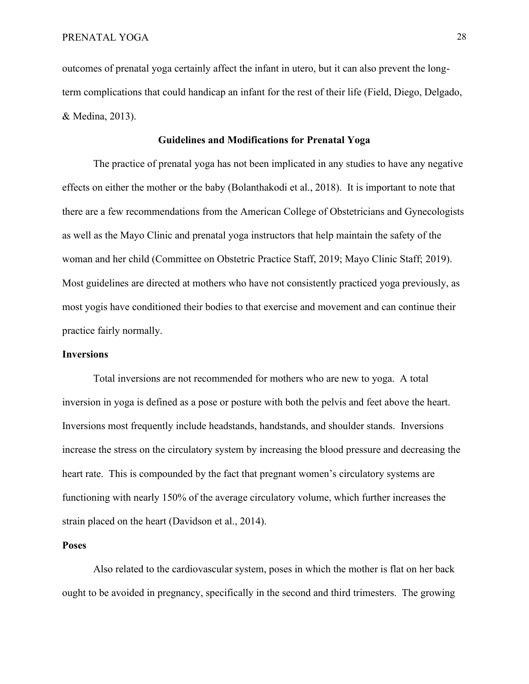outcomes of prenatal yoga certainly affect the infant in utero, but it can also prevent the longterm complications that could handicap an infant for the rest of their life (Field, Diego, Delgado, & Medina, 2013).

# **Guidelines and Modifications for Prenatal Yoga**

The practice of prenatal yoga has not been implicated in any studies to have any negative effects on either the mother or the baby (Bolanthakodi et al., 2018). It is important to note that there are a few recommendations from the American College of Obstetricians and Gynecologists as well as the Mayo Clinic and prenatal yoga instructors that help maintain the safety of the woman and her child (Committee on Obstetric Practice Staff, 2019; Mayo Clinic Staff; 2019). Most guidelines are directed at mothers who have not consistently practiced yoga previously, as most yogis have conditioned their bodies to that exercise and movement and can continue their practice fairly normally.

### **Inversions**

Total inversions are not recommended for mothers who are new to yoga. A total inversion in yoga is defined as a pose or posture with both the pelvis and feet above the heart. Inversions most frequently include headstands, handstands, and shoulder stands. Inversions increase the stress on the circulatory system by increasing the blood pressure and decreasing the heart rate. This is compounded by the fact that pregnant women's circulatory systems are functioning with nearly 150% of the average circulatory volume, which further increases the strain placed on the heart (Davidson et al., 2014).

# **Poses**

Also related to the cardiovascular system, poses in which the mother is flat on her back ought to be avoided in pregnancy, specifically in the second and third trimesters. The growing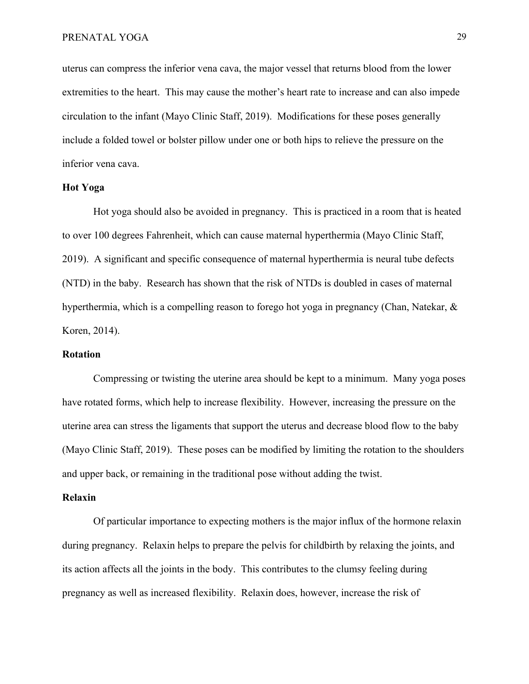uterus can compress the inferior vena cava, the major vessel that returns blood from the lower extremities to the heart. This may cause the mother's heart rate to increase and can also impede circulation to the infant (Mayo Clinic Staff, 2019). Modifications for these poses generally include a folded towel or bolster pillow under one or both hips to relieve the pressure on the inferior vena cava.

# **Hot Yoga**

Hot yoga should also be avoided in pregnancy. This is practiced in a room that is heated to over 100 degrees Fahrenheit, which can cause maternal hyperthermia (Mayo Clinic Staff, 2019). A significant and specific consequence of maternal hyperthermia is neural tube defects (NTD) in the baby. Research has shown that the risk of NTDs is doubled in cases of maternal hyperthermia, which is a compelling reason to forego hot yoga in pregnancy (Chan, Natekar, & Koren, 2014).

#### **Rotation**

Compressing or twisting the uterine area should be kept to a minimum. Many yoga poses have rotated forms, which help to increase flexibility. However, increasing the pressure on the uterine area can stress the ligaments that support the uterus and decrease blood flow to the baby (Mayo Clinic Staff, 2019). These poses can be modified by limiting the rotation to the shoulders and upper back, or remaining in the traditional pose without adding the twist.

#### **Relaxin**

Of particular importance to expecting mothers is the major influx of the hormone relaxin during pregnancy. Relaxin helps to prepare the pelvis for childbirth by relaxing the joints, and its action affects all the joints in the body. This contributes to the clumsy feeling during pregnancy as well as increased flexibility. Relaxin does, however, increase the risk of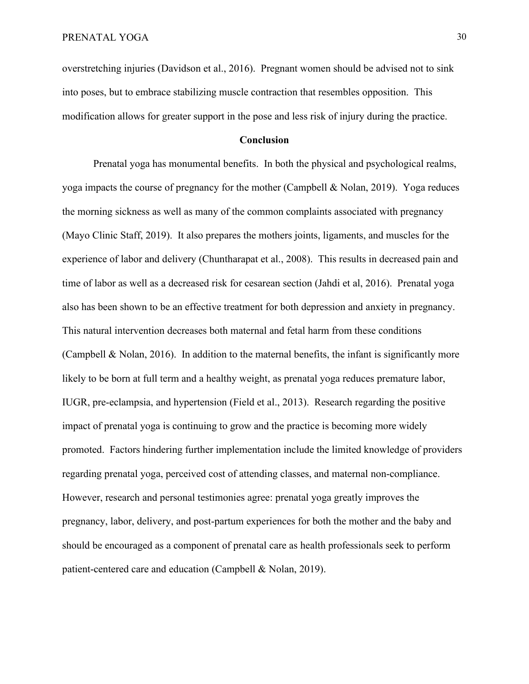overstretching injuries (Davidson et al., 2016). Pregnant women should be advised not to sink into poses, but to embrace stabilizing muscle contraction that resembles opposition. This modification allows for greater support in the pose and less risk of injury during the practice.

#### **Conclusion**

Prenatal yoga has monumental benefits. In both the physical and psychological realms, yoga impacts the course of pregnancy for the mother (Campbell & Nolan, 2019). Yoga reduces the morning sickness as well as many of the common complaints associated with pregnancy (Mayo Clinic Staff, 2019). It also prepares the mothers joints, ligaments, and muscles for the experience of labor and delivery (Chuntharapat et al., 2008). This results in decreased pain and time of labor as well as a decreased risk for cesarean section (Jahdi et al, 2016). Prenatal yoga also has been shown to be an effective treatment for both depression and anxiety in pregnancy. This natural intervention decreases both maternal and fetal harm from these conditions (Campbell  $\&$  Nolan, 2016). In addition to the maternal benefits, the infant is significantly more likely to be born at full term and a healthy weight, as prenatal yoga reduces premature labor, IUGR, pre-eclampsia, and hypertension (Field et al., 2013). Research regarding the positive impact of prenatal yoga is continuing to grow and the practice is becoming more widely promoted. Factors hindering further implementation include the limited knowledge of providers regarding prenatal yoga, perceived cost of attending classes, and maternal non-compliance. However, research and personal testimonies agree: prenatal yoga greatly improves the pregnancy, labor, delivery, and post-partum experiences for both the mother and the baby and should be encouraged as a component of prenatal care as health professionals seek to perform patient-centered care and education (Campbell & Nolan, 2019).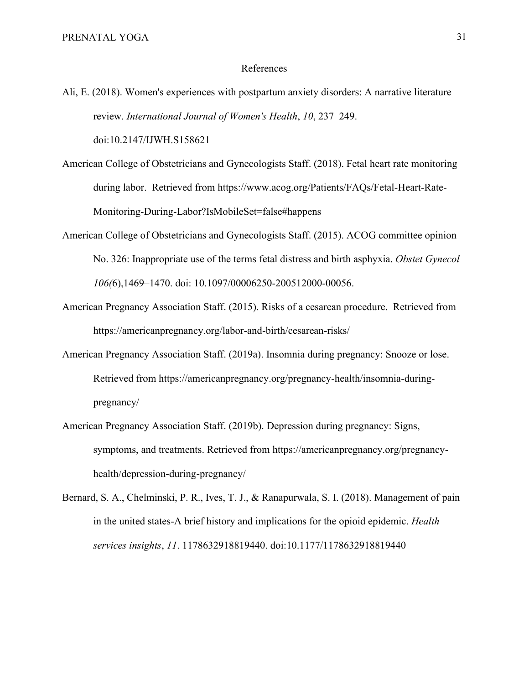#### References

Ali, E. (2018). Women's experiences with postpartum anxiety disorders: A narrative literature review. *International Journal of Women's Health*, *10*, 237–249.

doi:10.2147/IJWH.S158621

- American College of Obstetricians and Gynecologists Staff. (2018). Fetal heart rate monitoring during labor. Retrieved from [https://www.acog.org/Patients/FAQs/Fetal-Heart-Rate-](https://www.acog.org/Patients/FAQs/Fetal-Heart-Rate-Monitoring-During-Labor?IsMobileSet=false#happens)[Monitoring-During-Labor?IsMobileSet=false#happens](https://www.acog.org/Patients/FAQs/Fetal-Heart-Rate-Monitoring-During-Labor?IsMobileSet=false#happens)
- American College of Obstetricians and Gynecologists Staff. (2015). ACOG committee opinion No. 326: Inappropriate use of the terms fetal distress and birth asphyxia. *Obstet Gynecol 106(*6),1469–1470. doi: 10.1097/00006250-200512000-00056.
- American Pregnancy Association Staff. (2015). Risks of a cesarean procedure. Retrieved from <https://americanpregnancy.org/labor-and-birth/cesarean-risks/>
- American Pregnancy Association Staff. (2019a). Insomnia during pregnancy: Snooze or lose. Retrieved from [https://americanpregnancy.org/pregnancy-health/insomnia-during](https://americanpregnancy.org/pregnancy-health/insomnia-during-pregnancy/)[pregnancy/](https://americanpregnancy.org/pregnancy-health/insomnia-during-pregnancy/)
- American Pregnancy Association Staff. (2019b). Depression during pregnancy: Signs, symptoms, and treatments. Retrieved from [https://americanpregnancy.org/pregnancy](https://americanpregnancy.org/pregnancy-health/depression-during-pregnancy/)[health/depression-during-pregnancy/](https://americanpregnancy.org/pregnancy-health/depression-during-pregnancy/)

Bernard, S. A., Chelminski, P. R., Ives, T. J., & Ranapurwala, S. I. (2018). Management of pain in the united states-A brief history and implications for the opioid epidemic. *Health services insights*, *11*. 1178632918819440. doi:10.1177/1178632918819440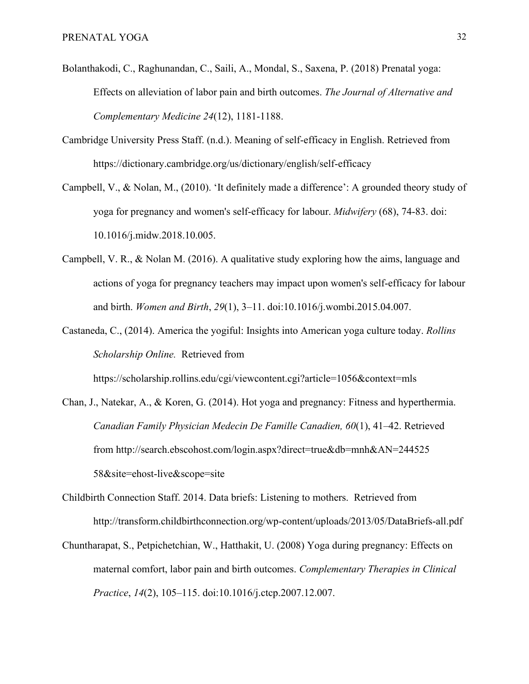- Bolanthakodi, C., Raghunandan, C., Saili, A., Mondal, S., Saxena, P. (2018) Prenatal yoga: Effects on alleviation of labor pain and birth outcomes. *The Journal of Alternative and Complementary Medicine 24*(12), 1181-1188.
- Cambridge University Press Staff. (n.d.). Meaning of self-efficacy in English. Retrieved from <https://dictionary.cambridge.org/us/dictionary/english/self-efficacy>
- Campbell, V., & Nolan, M., (2010). 'It definitely made a difference': A grounded theory study of yoga for pregnancy and women's self-efficacy for labour. *Midwifery* (68), 74-83. doi: 10.1016/j.midw.2018.10.005.
- Campbell, V. R., & Nolan M. (2016). A qualitative study exploring how the aims, language and actions of yoga for pregnancy teachers may impact upon women's self-efficacy for labour and birth. *Women and Birth*, *29*(1), 3–11. doi:10.1016/j.wombi.2015.04.007.
- Castaneda, C., (2014). America the yogiful: Insights into American yoga culture today. *Rollins Scholarship Online.* Retrieved from

<https://scholarship.rollins.edu/cgi/viewcontent.cgi?article=1056&context=mls>

- Chan, J., Natekar, A., & Koren, G. (2014). Hot yoga and pregnancy: Fitness and hyperthermia. *Canadian Family Physician Medecin De Famille Canadien, 60*(1), 41–42. Retrieved from http://search.ebscohost.com/login.aspx?direct=true&db=mnh&AN=244525 58&site=ehost-live&scope=site
- Childbirth Connection Staff. 2014. Data briefs: Listening to mothers. Retrieved from http://transform.childbirthconnection.org/wp-content/uploads/2013/05/DataBriefs-all.pdf
- Chuntharapat, S., Petpichetchian, W., Hatthakit, U. (2008) Yoga during pregnancy: Effects on maternal comfort, labor pain and birth outcomes. *Complementary Therapies in Clinical Practice*, *14*(2), 105–115. doi:10.1016/j.ctcp.2007.12.007.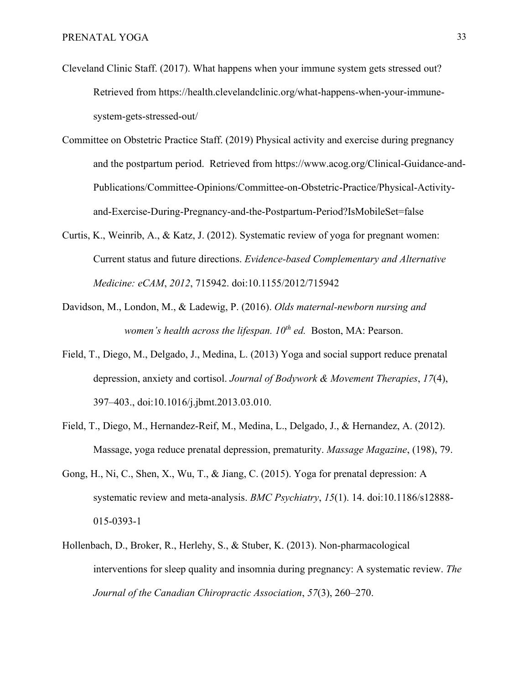- Cleveland Clinic Staff. (2017). What happens when your immune system gets stressed out? Retrieved from [https://health.clevelandclinic.org/what-happens-when-your-immune](https://health.clevelandclinic.org/what-happens-when-your-immune-system-gets-stressed-out/)[system-gets-stressed-out/](https://health.clevelandclinic.org/what-happens-when-your-immune-system-gets-stressed-out/)
- Committee on Obstetric Practice Staff. (2019) Physical activity and exercise during pregnancy and the postpartum period. Retrieved from https://www.acog.org/Clinical-Guidance-and-Publications/Committee-Opinions/Committee-on-Obstetric-Practice/Physical-Activityand-Exercise-During-Pregnancy-and-the-Postpartum-Period?IsMobileSet=false
- Curtis, K., Weinrib, A., & Katz, J. (2012). Systematic review of yoga for pregnant women: Current status and future directions. *Evidence-based Complementary and Alternative Medicine: eCAM*, *2012*, 715942. doi:10.1155/2012/715942
- Davidson, M., London, M., & Ladewig, P. (2016). *Olds maternal-newborn nursing and women's health across the lifespan. 10th ed.* Boston, MA: Pearson.
- Field, T., Diego, M., Delgado, J., Medina, L. (2013) Yoga and social support reduce prenatal depression, anxiety and cortisol. *Journal of Bodywork & Movement Therapies*, *17*(4), 397–403., doi:10.1016/j.jbmt.2013.03.010.
- Field, T., Diego, M., Hernandez-Reif, M., Medina, L., Delgado, J., & Hernandez, A. (2012). Massage, yoga reduce prenatal depression, prematurity. *Massage Magazine*, (198), 79.
- Gong, H., Ni, C., Shen, X., Wu, T., & Jiang, C. (2015). Yoga for prenatal depression: A systematic review and meta-analysis. *BMC Psychiatry*, *15*(1). 14. doi:10.1186/s12888- 015-0393-1
- Hollenbach, D., Broker, R., Herlehy, S., & Stuber, K. (2013). Non-pharmacological interventions for sleep quality and insomnia during pregnancy: A systematic review. *The Journal of the Canadian Chiropractic Association*, *57*(3), 260–270.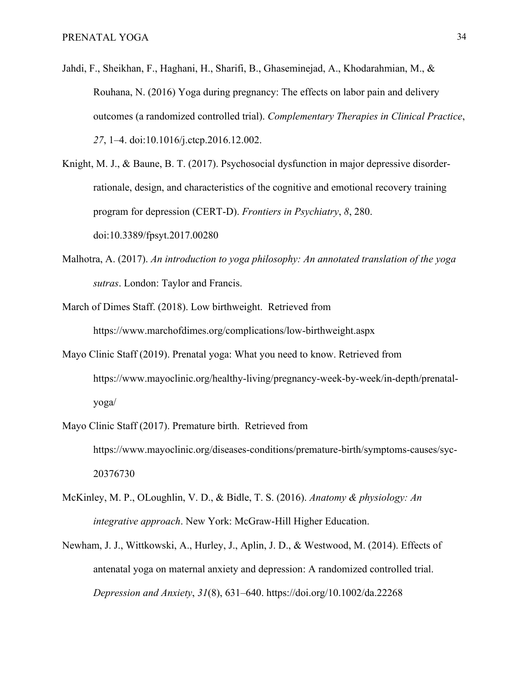- Jahdi, F., Sheikhan, F., Haghani, H., Sharifi, B., Ghaseminejad, A., Khodarahmian, M., & Rouhana, N. (2016) Yoga during pregnancy: The effects on labor pain and delivery outcomes (a randomized controlled trial). *Complementary Therapies in Clinical Practice*, *27*, 1–4. doi:10.1016/j.ctcp.2016.12.002.
- Knight, M. J., & Baune, B. T. (2017). Psychosocial dysfunction in major depressive disorderrationale, design, and characteristics of the cognitive and emotional recovery training program for depression (CERT-D). *Frontiers in Psychiatry*, *8*, 280. doi:10.3389/fpsyt.2017.00280
- Malhotra, A. (2017). *An introduction to yoga philosophy: An annotated translation of the yoga sutras*. London: Taylor and Francis.
- March of Dimes Staff. (2018). Low birthweight. Retrieved from https://www.marchofdimes.org/complications/low-birthweight.aspx
- Mayo Clinic Staff (2019). Prenatal yoga: What you need to know. Retrieved from https://www.mayoclinic.org/healthy-living/pregnancy-week-by-week/in-depth/prenatalyoga/
- Mayo Clinic Staff (2017). Premature birth. Retrieved from https://www.mayoclinic.org/diseases-conditions/premature-birth/symptoms-causes/syc-20376730
- McKinley, M. P., OLoughlin, V. D., & Bidle, T. S. (2016). *Anatomy & physiology: An integrative approach*. New York: McGraw-Hill Higher Education.
- Newham, J. J., Wittkowski, A., Hurley, J., Aplin, J. D., & Westwood, M. (2014). Effects of antenatal yoga on maternal anxiety and depression: A randomized controlled trial. *Depression and Anxiety*, *31*(8), 631–640. https://doi.org/10.1002/da.22268